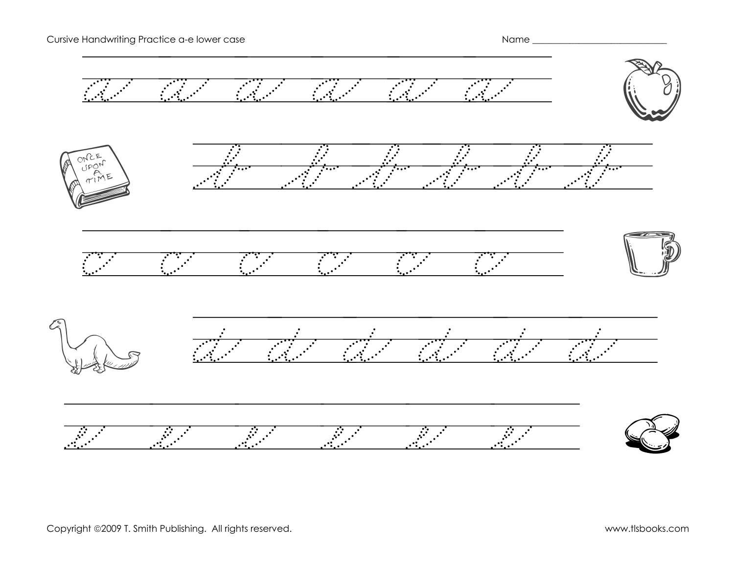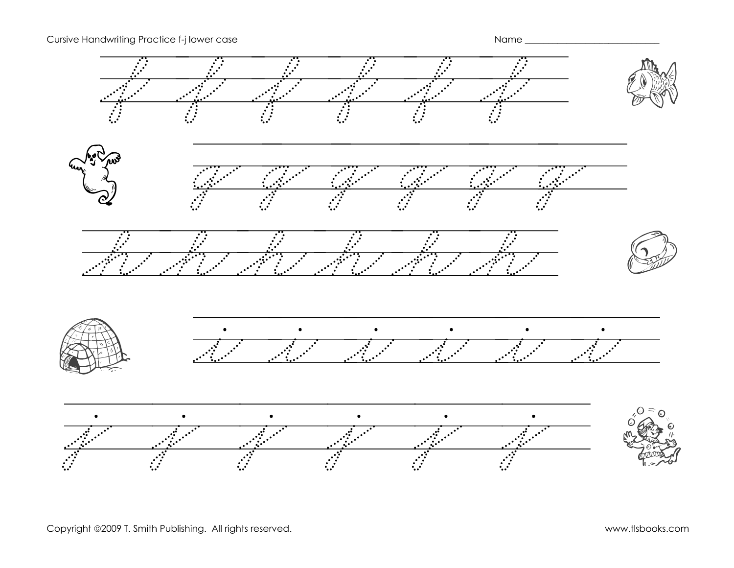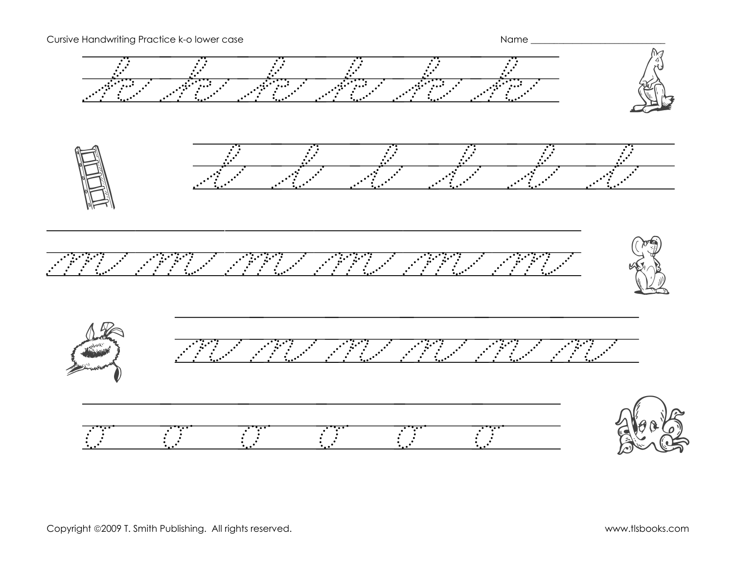Cursive Handwriting Practice k-o lower case Name \_\_\_\_\_\_\_\_\_\_\_\_\_\_\_\_\_\_\_\_\_\_\_\_\_\_\_\_\_\_\_ k k k k k k k l l l l l l l m m m m m m m n n n n n n n o aleas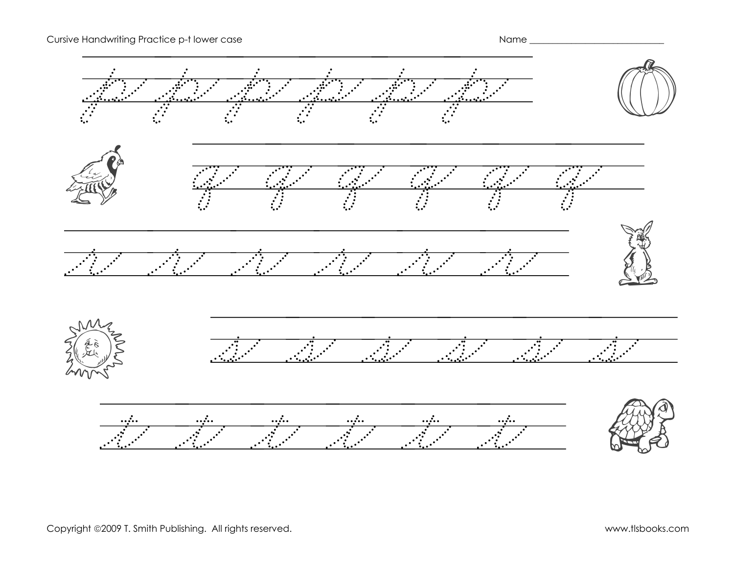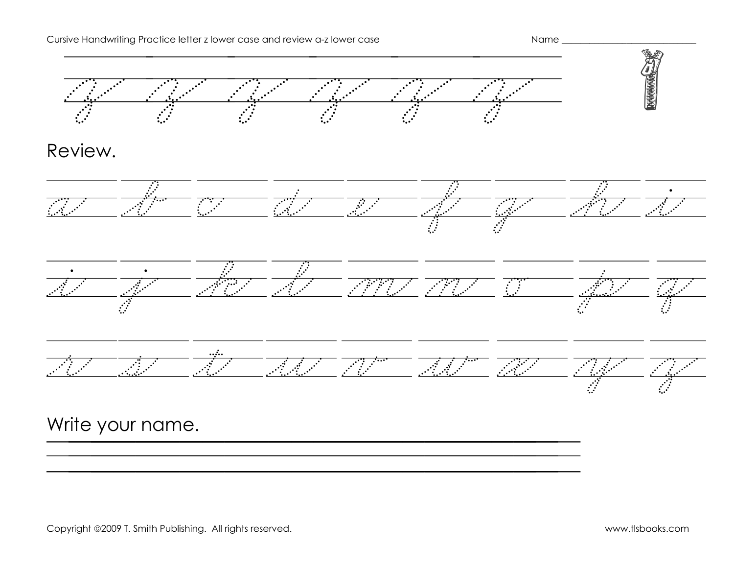

Review.







||||||||||||||||||||||

## Write your name.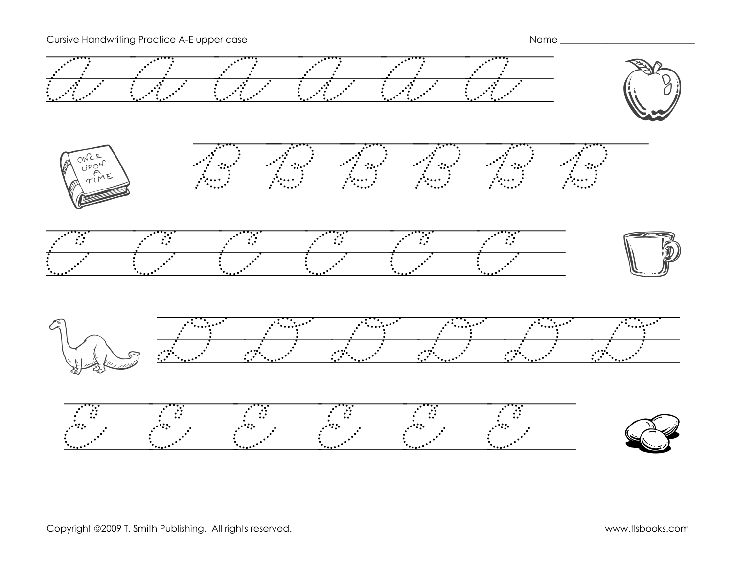#### Cursive Handwriting Practice A-E upper case Name \_\_\_\_\_\_\_\_\_\_\_\_\_\_\_\_\_\_\_\_\_\_\_\_\_\_\_\_\_

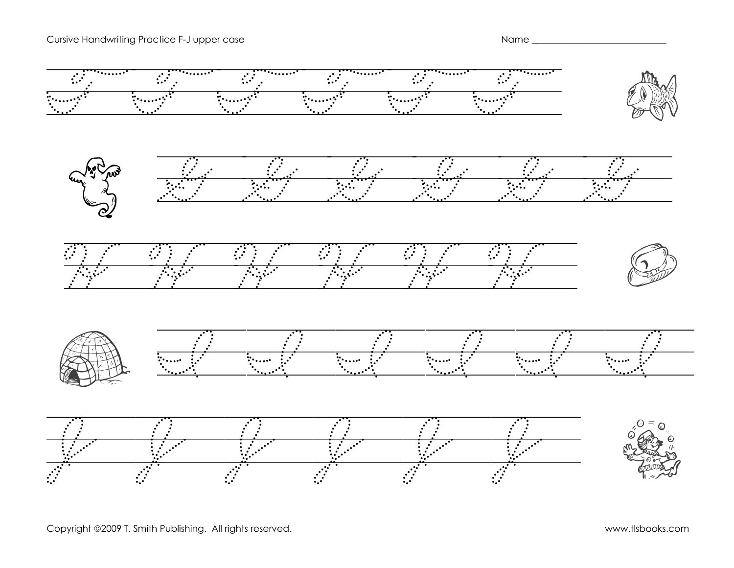#### Cursive Handwriting Practice F-J upper case Name \_\_\_\_\_\_\_\_\_\_\_\_\_\_\_\_\_\_\_\_\_\_\_\_\_\_\_\_\_\_\_



Copyright ©2009 T. Smith Publishing. All rights reserved. www.tlsbooks.com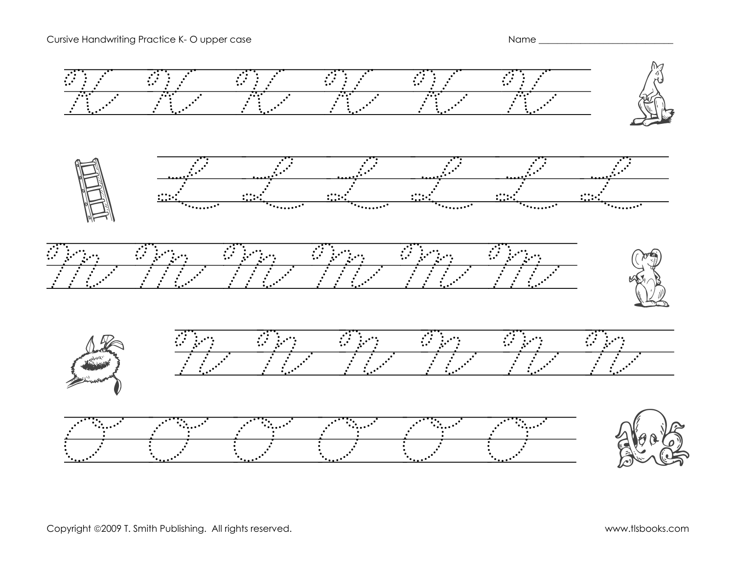#### Cursive Handwriting Practice K- O upper case Name \_\_\_\_\_\_\_\_\_\_\_\_\_\_\_\_\_\_\_\_\_\_\_\_\_\_\_\_\_\_\_

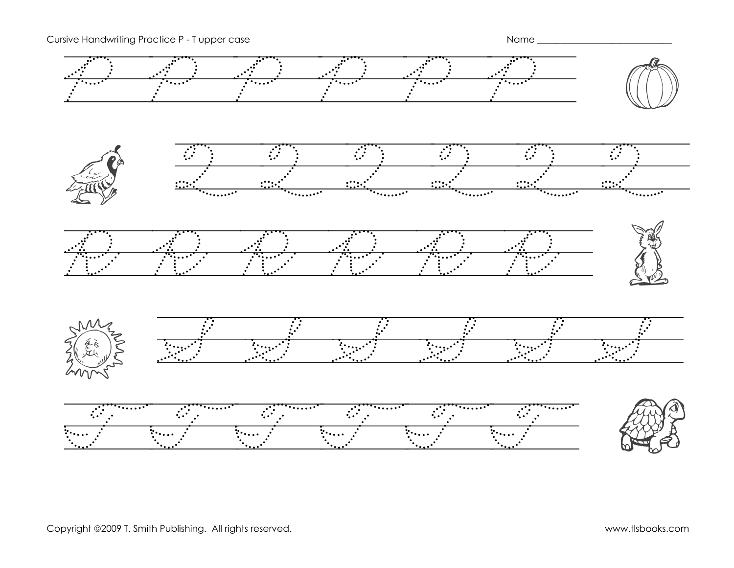Cursive Handwriting Practice P - T upper case Name \_ \_\_\_\_\_\_\_\_\_\_\_\_\_\_\_\_\_\_\_\_\_\_\_\_\_\_\_

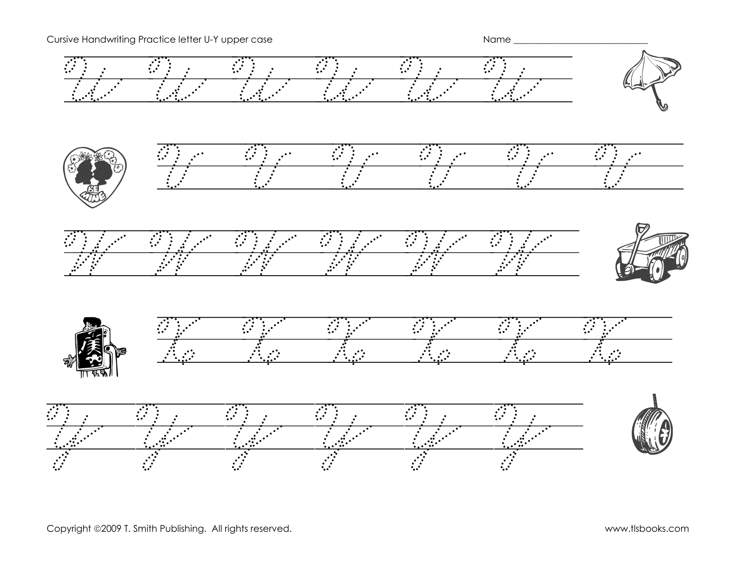Cursive Handwriting Practice letter U-Y upper case Name \_ \_ \_ \_ \_ \_ \_ \_ \_ \_ \_ \_ \_ \_ Name \_

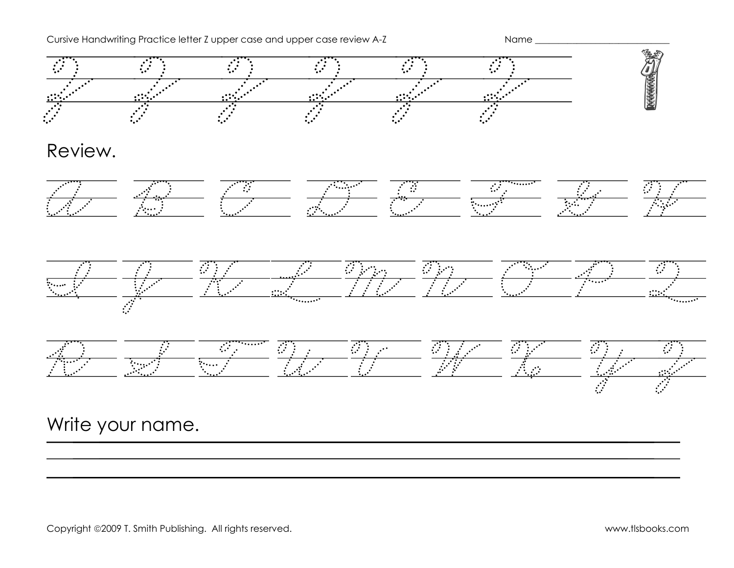Cursive Handwriting Practice letter Z upper case and upper case review A-Z Name \_\_\_\_\_\_\_\_\_\_\_\_\_\_\_\_\_\_\_\_\_\_\_\_\_\_\_\_\_\_



Review.







||||||||||||||||||||||

# Write your name.